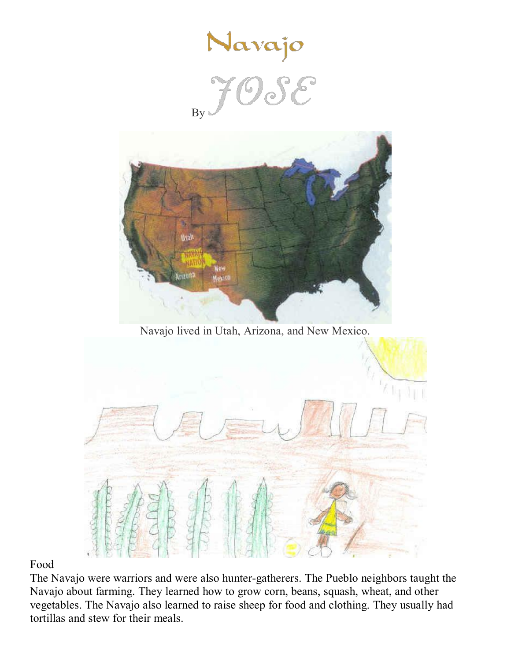

By



Navajo lived in Utah, Arizona, and New Mexico.



## Food

The Navajo were warriors and were also hunter-gatherers. The Pueblo neighbors taught the Navajo about farming. They learned how to grow corn, beans, squash, wheat, and other vegetables. The Navajo also learned to raise sheep for food and clothing. They usually had tortillas and stew for their meals.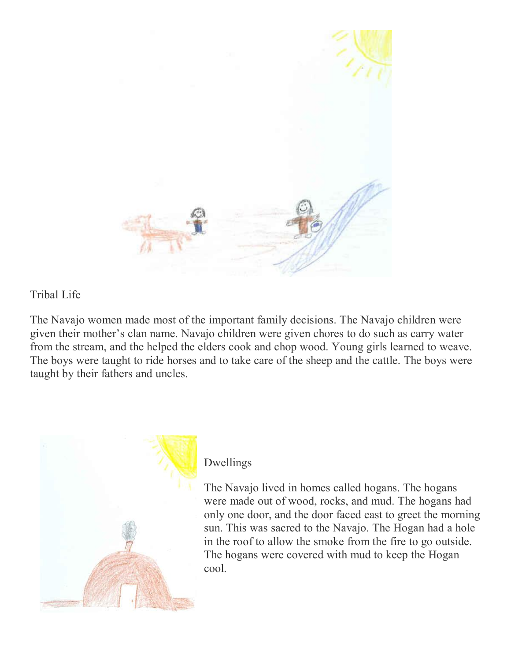

## Tribal Life

The Navajo women made most of the important family decisions. The Navajo children were given their mother's clan name. Navajo children were given chores to do such as carry water from the stream, and the helped the elders cook and chop wood. Young girls learned to weave. The boys were taught to ride horses and to take care of the sheep and the cattle. The boys were taught by their fathers and uncles.



## Dwellings

The Navajo lived in homes called hogans. The hogans were made out of wood, rocks, and mud. The hogans had only one door, and the door faced east to greet the morning sun. This was sacred to the Navajo. The Hogan had a hole in the roof to allow the smoke from the fire to go outside. The hogans were covered with mud to keep the Hogan cool.